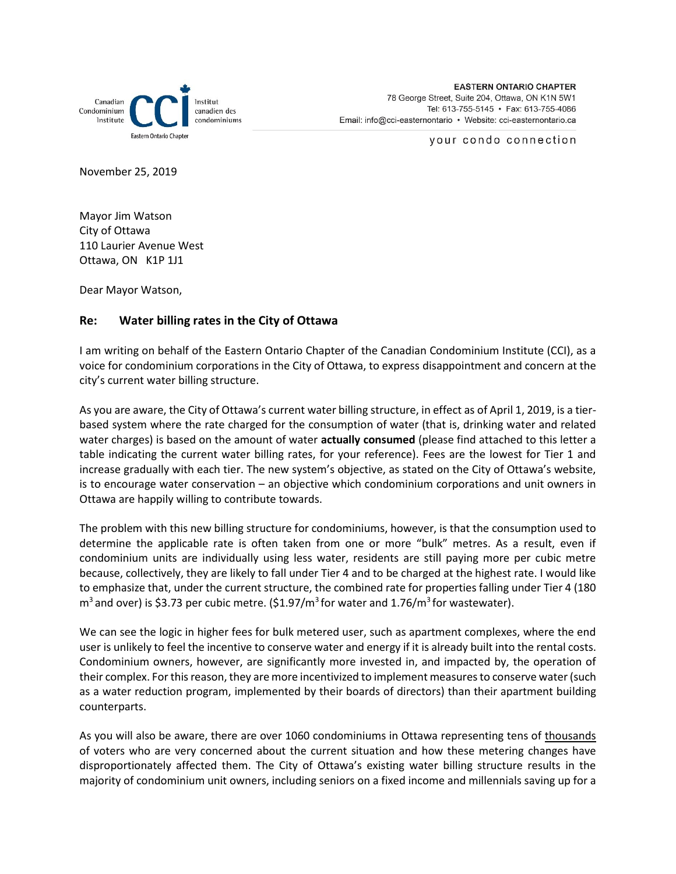

your condo connection

November 25, 2019

Mayor Jim Watson City of Ottawa 110 Laurier Avenue West Ottawa, ON K1P 1J1

Dear Mayor Watson,

## **Re: Water billing rates in the City of Ottawa**

I am writing on behalf of the Eastern Ontario Chapter of the Canadian Condominium Institute (CCI), as a voice for condominium corporations in the City of Ottawa, to express disappointment and concern at the city's current water billing structure.

As you are aware, the City of Ottawa's current water billing structure, in effect as of April 1, 2019, is a tierbased system where the rate charged for the consumption of water (that is, drinking water and related water charges) is based on the amount of water **actually consumed** (please find attached to this letter a table indicating the current water billing rates, for your reference). Fees are the lowest for Tier 1 and increase gradually with each tier. The new system's objective, as stated on the City of Ottawa's website, is to encourage water conservation – an objective which condominium corporations and unit owners in Ottawa are happily willing to contribute towards.

The problem with this new billing structure for condominiums, however, is that the consumption used to determine the applicable rate is often taken from one or more "bulk" metres. As a result, even if condominium units are individually using less water, residents are still paying more per cubic metre because, collectively, they are likely to fall under Tier 4 and to be charged at the highest rate. I would like to emphasize that, under the current structure, the combined rate for properties falling under Tier 4 (180  $m<sup>3</sup>$  and over) is \$3.73 per cubic metre. (\$1.97/ $m<sup>3</sup>$  for water and 1.76/ $m<sup>3</sup>$  for wastewater).

We can see the logic in higher fees for bulk metered user, such as apartment complexes, where the end user is unlikely to feel the incentive to conserve water and energy if it is already built into the rental costs. Condominium owners, however, are significantly more invested in, and impacted by, the operation of their complex. For this reason, they are more incentivized to implement measures to conserve water(such as a water reduction program, implemented by their boards of directors) than their apartment building counterparts.

As you will also be aware, there are over 1060 condominiums in Ottawa representing tens of thousands of voters who are very concerned about the current situation and how these metering changes have disproportionately affected them. The City of Ottawa's existing water billing structure results in the majority of condominium unit owners, including seniors on a fixed income and millennials saving up for a